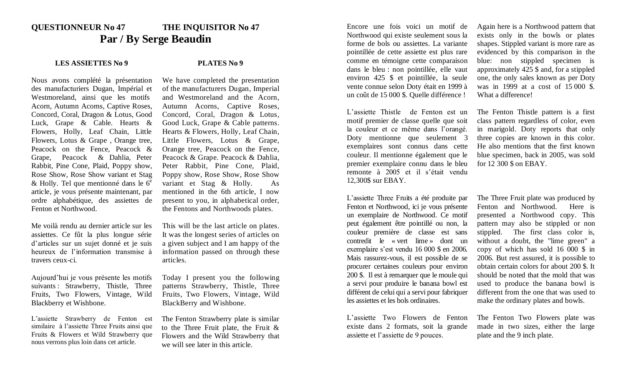## **QUESTIONNEUR No 47 THE INQUISITOR No 47 Par / By Serge Beaudin**

## **LES ASSIETTES No 9 PLATES No 9**

Nous avons complété la présentation des manufacturiers Dugan, Impérial et Westmoreland, ainsi que les motifs Acorn, Autumn Acorns, Captive Roses, Concord, Coral, Dragon & Lotus, Good Luck, Grape & Cable. Hearts & Flowers, Holly, Leaf Chain, Little Flowers, Lotus & Grape , Orange tree, Peacock on the Fence, Peacock & Grape, Peacock & Dahlia, Peter Rabbit, Pine Cone, Plaid, Poppy show, Rose Show, Rose Show variant et Stag  $&$  Holly. Tel que mentionné dans le  $6^e$ article, je vous présente maintenant, par ordre alphabétique, des assiettes de Fenton et Northwood.

Me voilà rendu au dernier article sur les assiettes. Ce fût la plus longue série d'articles sur un sujet donné et je suis heureux de l'information transmise à travers ceux-ci.

Aujourd'hui je vous présente les motifs suivants : Strawberry, Thistle, Three Fruits, Two Flowers, Vintage, Wild Blackberry et Wishbone.

L'assiette Strawberry de Fenton est similaire à l'assiette Three Fruits ainsi que Fruits & Flowers et Wild Strawberry que nous verrons plus loin dans cet article.

We have completed the presentation of the manufacturers Dugan, Imperial and Westmoreland and the Acorn, Autumn Acorns, Captive Roses, Concord, Coral, Dragon & Lotus, Good Luck, Grape & Cable patterns. Hearts & Flowers, Holly, Leaf Chain, Little Flowers, Lotus & Grape, Orange tree, Peacock on the Fence, Peacock & Grape. Peacock & Dahlia, Peter Rabbit, Pine Cone, Plaid, Poppy show, Rose Show, Rose Show variant et Stag & Holly. As mentioned in the 6th article, I now present to you, in alphabetical order, the Fentons and Northwoods plates.

This will be the last article on plates. It was the longest series of articles on a given subject and I am happy of the information passed on through these articles.

Today I present you the following patterns Strawberry, Thistle, Three Fruits, Two Flowers, Vintage, Wild BlackBerry and Wishbone.

The Fenton Strawberry plate is similar to the Three Fruit plate, the Fruit & Flowers and the Wild Strawberry that we will see later in this article.

Encore une fois voici un motif de Northwood qui existe seulement sous la forme de bols ou assiettes. La variante pointillée de cette assiette est plus rare comme en témoigne cette comparaison dans le bleu : non pointillée, elle vaut environ 425 \$ et pointillée, la seule vente connue selon Doty était en 1999 à un coût de 15 000 \$. Quelle différence !

L'assiette Thistle de Fenton est un motif premier de classe quelle que soit la couleur et ce même dans l'orangé. Doty mentionne que seulement 3 exemplaires sont connus dans cette couleur. Il mentionne également que le premier exemplaire connu dans le bleu remonte à 2005 et il s'était vendu 12,300\$ sur EBAY.

L'assiette Three Fruits a été produite par Fenton et Northwood, ici je vous présente un exemplaire de Northwood. Ce motif peut également être pointillé ou non, la couleur première de classe est sans contredit le « vert lime » dont un exemplaire s'est vendu 16 000 \$ en 2006. Mais rassurez-vous, il est possible de se procurer certaines couleurs pour environ 200 \$. Il est à remarquer que le moule qui a servi pour produire le banana bowl est différent de celui qui a servi pour fabriquer les assiettes et les bols ordinaires.

L'assiette Two Flowers de Fenton existe dans 2 formats, soit la grande assiette et l'assiette de 9 pouces.

Again here is a Northwood pattern that exists only in the bowls or plates shapes. Stippled variant is more rare as evidenced by this comparison in the blue: non stippled specimen is approximately 425 \$ and, for a stippled one, the only sales known as per Doty was in 1999 at a cost of 15 000 \$. What a difference!

The Fenton Thistle pattern is a first class pattern regardless of color, even in marigold. Doty reports that only three copies are known in this color. He also mentions that the first known blue specimen, back in 2005, was sold for 12 300 \$ on EBAY.

The Three Fruit plate was produced by Fenton and Northwood. Here is presented a Northwood copy. This pattern may also be stippled or non stippled. The first class color is, without a doubt, the "lime green" a copy of which has sold 16 000 \$ in 2006. But rest assured, it is possible to obtain certain colors for about 200 \$. It should be noted that the mold that was used to produce the banana bowl is different from the one that was used to make the ordinary plates and bowls.

The Fenton Two Flowers plate was made in two sizes, either the large plate and the 9 inch plate.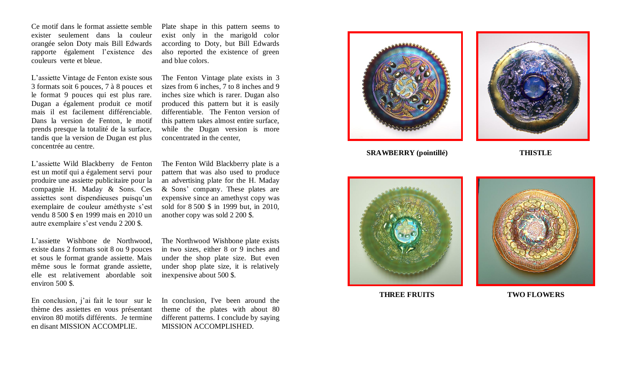Ce motif dans le format assiette semble exister seulement dans la couleur orangée selon Doty mais Bill Edwards rapporte également l'existence des couleurs verte et bleue.

L'assiette Vintage de Fenton existe sous 3 formats soit 6 pouces, 7 à 8 pouces et le format 9 pouces qui est plus rare. Dugan a également produit ce motif mais il est facilement différenciable. Dans la version de Fenton , le motif prends presque la totalité de la surface, tandis que la version de Dugan est plus concentrée au centre .

L'assiette Wild Blackberry de Fenton est un motif qui a également servi pour produire une assiette publicitaire pour la compagnie H. Maday & Sons. Ces assiettes sont dispendieuses puisqu'un exemplaire de couleur améthyste s'est vendu 8 500 \$ en 1999 mais en 2010 un autre exemplaire s'est vendu 2 200 \$ .

L'assiette Wis hbone de Northwood, existe dans 2 formats soit 8 ou 9 pouces et sous le format grande assiette. Mais même sous le format grande assiette, elle est relativement abordable soit environ 500 \$ .

En conclusion, j'ai fait le tour sur le thème des assiettes en vous présentant environ 80 motifs différents. Je termine en disant MISSION ACCOMPLIE.

Plate shape in this pattern seem s to exist only in the marigold color according to Doty, but Bill Edwards also reported the existence of green and blue colors .

The Fenton Vintage plate exists in 3 sizes from 6 inches, 7 to 8 inches and 9 inches size which is rarer . Dugan also produced this pattern but it is easily differentiable. The Fenton version of this pattern take s almost entire surface, while the Dugan version is more concentrated in the center,

The Fenton Wild Blackberry plate is a pattern that was also used to produce an advertising plate for the H. Maday & Sons ' company. These plates are expensive since an amethyst copy was sold for 8 500 \$ in 1999 but, in 2010, another copy was sold 2 200 \$ .

The Northwood Wis hbone plate exists in two sizes, either 8 or 9 inches and under the shop plate size. But even under shop plate size, it is relatively inexpensive about 500 \$ .

In conclusion, I've been around the theme of the plates with about 80 different patterns. I conclude by saying MISSION ACCOMPLISHED.





**SRAWBERRY (pointillé) THISTLE**





**THREE FRUITS TWO FLOWERS**